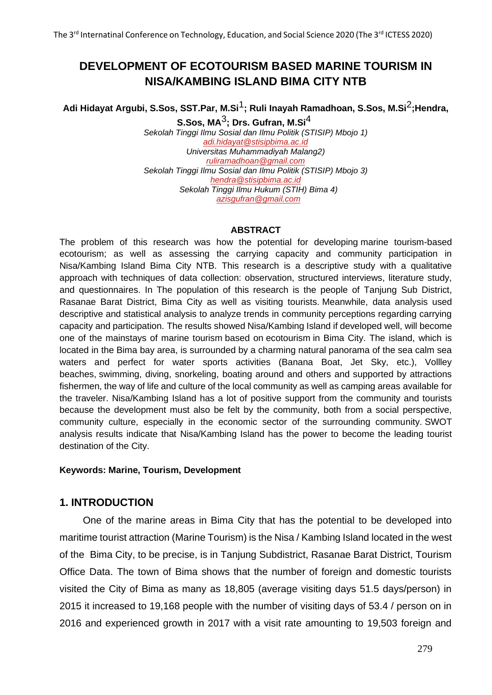# **DEVELOPMENT OF ECOTOURISM BASED MARINE TOURISM IN NISA/KAMBING ISLAND BIMA CITY NTB**

# **Adi Hidayat Argubi, S.Sos, SST.Par, M.Si**1**; Ruli Inayah Ramadhoan, S.Sos, M.Si**2**;Hendra, S.Sos, MA**3**; Drs. Gufran, M.Si**4

*Sekolah Tinggi Ilmu Sosial dan Ilmu Politik (STISIP) Mbojo 1) [adi.hidayat@stisipbima.ac.id](mailto:adi.hidayat@stisipbima.ac.id) Universitas Muhammadiyah Malang2) [ruliramadhoan@gmail.com](mailto:kamaluddin@stisipbima.ac.id) Sekolah Tinggi Ilmu Sosial dan Ilmu Politik (STISIP) Mbojo 3) [hendra@stisipbima.ac.id](mailto:hendra@stisipbima.ac.id) Sekolah Tinggi Ilmu Hukum (STIH) Bima 4) [azisgufran@gmail.com](mailto:azisgufran@gmail.com)*

#### **ABSTRACT**

The problem of this research was how the potential for developing marine tourism-based ecotourism; as well as assessing the carrying capacity and community participation in Nisa/Kambing Island Bima City NTB. This research is a descriptive study with a qualitative approach with techniques of data collection: observation, structured interviews, literature study, and questionnaires. In The population of this research is the people of Tanjung Sub District, Rasanae Barat District, Bima City as well as visiting tourists. Meanwhile, data analysis used descriptive and statistical analysis to analyze trends in community perceptions regarding carrying capacity and participation. The results showed Nisa/Kambing Island if developed well, will become one of the mainstays of marine tourism based on ecotourism in Bima City. The island, which is located in the Bima bay area, is surrounded by a charming natural panorama of the sea calm sea waters and perfect for water sports activities (Banana Boat, Jet Sky, etc.), Vollley beaches, swimming, diving, snorkeling, boating around and others and supported by attractions fishermen, the way of life and culture of the local community as well as camping areas available for the traveler. Nisa/Kambing Island has a lot of positive support from the community and tourists because the development must also be felt by the community, both from a social perspective, community culture, especially in the economic sector of the surrounding community. SWOT analysis results indicate that Nisa/Kambing Island has the power to become the leading tourist destination of the City.

#### **Keywords: Marine, Tourism, Development**

#### **1. INTRODUCTION**

One of the marine areas in Bima City that has the potential to be developed into maritime tourist attraction (Marine Tourism) is the Nisa / Kambing Island located in the west of the Bima City, to be precise, is in Tanjung Subdistrict, Rasanae Barat District, Tourism Office Data. The town of Bima shows that the number of foreign and domestic tourists visited the City of Bima as many as 18,805 (average visiting days 51.5 days/person) in 2015 it increased to 19,168 people with the number of visiting days of 53.4 / person on in 2016 and experienced growth in 2017 with a visit rate amounting to 19,503 foreign and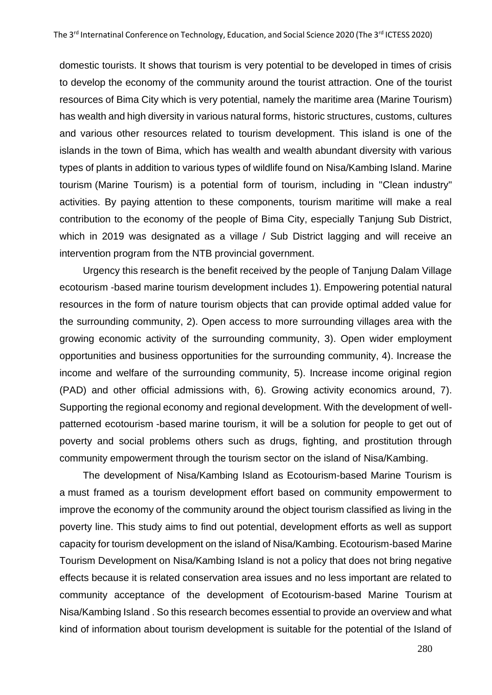domestic tourists. It shows that tourism is very potential to be developed in times of crisis to develop the economy of the community around the tourist attraction. One of the tourist resources of Bima City which is very potential, namely the maritime area (Marine Tourism) has wealth and high diversity in various natural forms, historic structures, customs, cultures and various other resources related to tourism development. This island is one of the islands in the town of Bima, which has wealth and wealth abundant diversity with various types of plants in addition to various types of wildlife found on Nisa/Kambing Island. Marine tourism (Marine Tourism) is a potential form of tourism, including in "Clean industry" activities. By paying attention to these components, tourism maritime will make a real contribution to the economy of the people of Bima City, especially Tanjung Sub District, which in 2019 was designated as a village / Sub District lagging and will receive an intervention program from the NTB provincial government.

Urgency this research is the benefit received by the people of Tanjung Dalam Village ecotourism -based marine tourism development includes 1). Empowering potential natural resources in the form of nature tourism objects that can provide optimal added value for the surrounding community, 2). Open access to more surrounding villages area with the growing economic activity of the surrounding community, 3). Open wider employment opportunities and business opportunities for the surrounding community, 4). Increase the income and welfare of the surrounding community, 5). Increase income original region (PAD) and other official admissions with, 6). Growing activity economics around, 7). Supporting the regional economy and regional development. With the development of wellpatterned ecotourism -based marine tourism, it will be a solution for people to get out of poverty and social problems others such as drugs, fighting, and prostitution through community empowerment through the tourism sector on the island of Nisa/Kambing.

The development of Nisa/Kambing Island as Ecotourism-based Marine Tourism is a must framed as a tourism development effort based on community empowerment to improve the economy of the community around the object tourism classified as living in the poverty line. This study aims to find out potential, development efforts as well as support capacity for tourism development on the island of Nisa/Kambing. Ecotourism-based Marine Tourism Development on Nisa/Kambing Island is not a policy that does not bring negative effects because it is related conservation area issues and no less important are related to community acceptance of the development of Ecotourism-based Marine Tourism at Nisa/Kambing Island . So this research becomes essential to provide an overview and what kind of information about tourism development is suitable for the potential of the Island of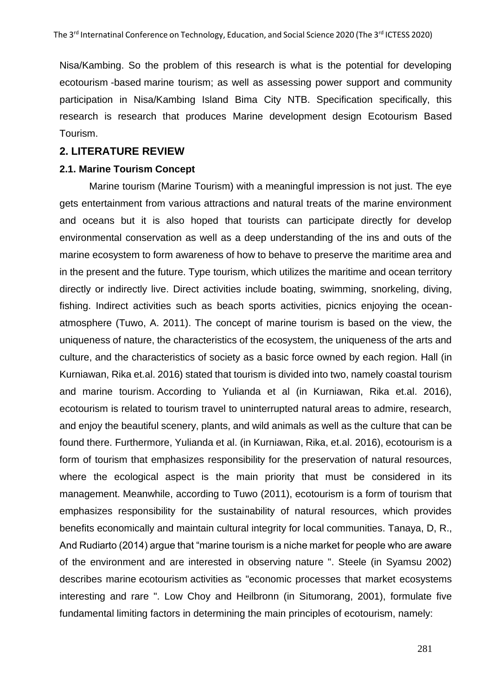Nisa/Kambing. So the problem of this research is what is the potential for developing ecotourism -based marine tourism; as well as assessing power support and community participation in Nisa/Kambing Island Bima City NTB. Specification specifically, this research is research that produces Marine development design Ecotourism Based Tourism.

#### **2. LITERATURE REVIEW**

#### **2.1. Marine Tourism Concept**

Marine tourism (Marine Tourism) with a meaningful impression is not just. The eye gets entertainment from various attractions and natural treats of the marine environment and oceans but it is also hoped that tourists can participate directly for develop environmental conservation as well as a deep understanding of the ins and outs of the marine ecosystem to form awareness of how to behave to preserve the maritime area and in the present and the future. Type tourism, which utilizes the maritime and ocean territory directly or indirectly live. Direct activities include boating, swimming, snorkeling, diving, fishing. Indirect activities such as beach sports activities, picnics enjoying the oceanatmosphere (Tuwo, A. 2011). The concept of marine tourism is based on the view, the uniqueness of nature, the characteristics of the ecosystem, the uniqueness of the arts and culture, and the characteristics of society as a basic force owned by each region. Hall (in Kurniawan, Rika et.al. 2016) stated that tourism is divided into two, namely coastal tourism and marine tourism. According to Yulianda et al (in Kurniawan, Rika et.al. 2016), ecotourism is related to tourism travel to uninterrupted natural areas to admire, research, and enjoy the beautiful scenery, plants, and wild animals as well as the culture that can be found there. Furthermore, Yulianda et al. (in Kurniawan, Rika, et.al. 2016), ecotourism is a form of tourism that emphasizes responsibility for the preservation of natural resources, where the ecological aspect is the main priority that must be considered in its management. Meanwhile, according to Tuwo (2011), ecotourism is a form of tourism that emphasizes responsibility for the sustainability of natural resources, which provides benefits economically and maintain cultural integrity for local communities. Tanaya, D, R., And Rudiarto (2014) argue that "marine tourism is a niche market for people who are aware of the environment and are interested in observing nature ". Steele (in Syamsu 2002) describes marine ecotourism activities as "economic processes that market ecosystems interesting and rare ". Low Choy and Heilbronn (in Situmorang, 2001), formulate five fundamental limiting factors in determining the main principles of ecotourism, namely: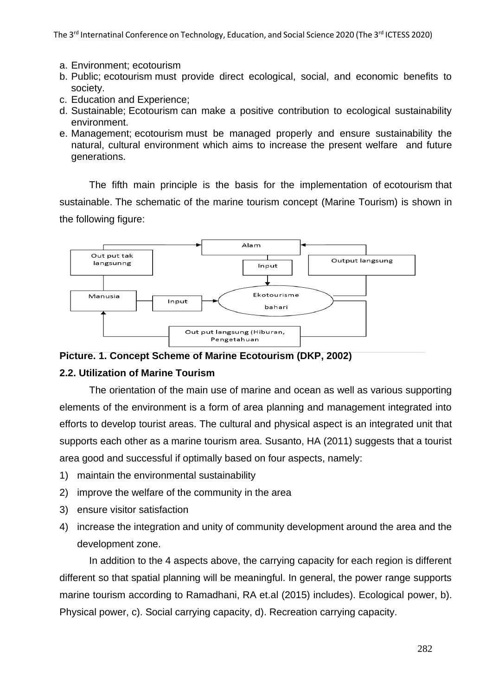- a. Environment; ecotourism
- b. Public; ecotourism must provide direct ecological, social, and economic benefits to society.
- c. Education and Experience;
- d. Sustainable; Ecotourism can make a positive contribution to ecological sustainability environment.
- e. Management; ecotourism must be managed properly and ensure sustainability the natural, cultural environment which aims to increase the present welfare and future generations.

The fifth main principle is the basis for the implementation of ecotourism that sustainable. The schematic of the marine tourism concept (Marine Tourism) is shown in the following figure:



**Picture. 1. Concept Scheme of Marine Ecotourism (DKP, 2002)** 

#### **2.2. Utilization of Marine Tourism**

The orientation of the main use of marine and ocean as well as various supporting elements of the environment is a form of area planning and management integrated into efforts to develop tourist areas. The cultural and physical aspect is an integrated unit that supports each other as a marine tourism area. Susanto, HA (2011) suggests that a tourist area good and successful if optimally based on four aspects, namely:

- 1) maintain the environmental sustainability
- 2) improve the welfare of the community in the area
- 3) ensure visitor satisfaction
- 4) increase the integration and unity of community development around the area and the development zone.

In addition to the 4 aspects above, the carrying capacity for each region is different different so that spatial planning will be meaningful. In general, the power range supports marine tourism according to Ramadhani, RA et.al (2015) includes). Ecological power, b). Physical power, c). Social carrying capacity, d). Recreation carrying capacity.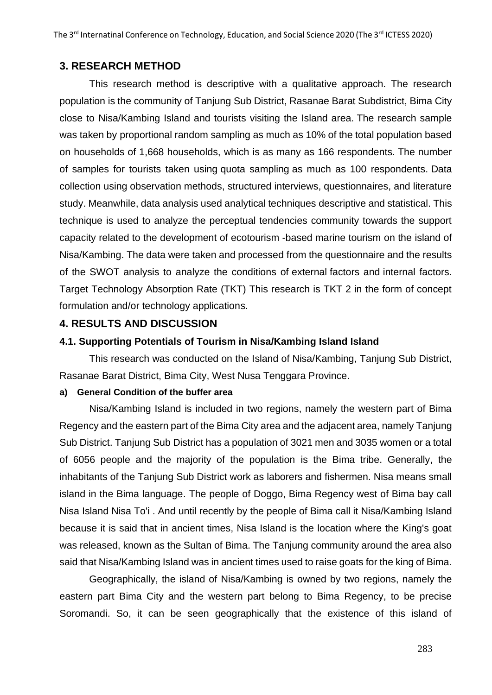## **3. RESEARCH METHOD**

This research method is descriptive with a qualitative approach. The research population is the community of Tanjung Sub District, Rasanae Barat Subdistrict, Bima City close to Nisa/Kambing Island and tourists visiting the Island area. The research sample was taken by proportional random sampling as much as 10% of the total population based on households of 1,668 households, which is as many as 166 respondents. The number of samples for tourists taken using quota sampling as much as 100 respondents. Data collection using observation methods, structured interviews, questionnaires, and literature study. Meanwhile, data analysis used analytical techniques descriptive and statistical. This technique is used to analyze the perceptual tendencies community towards the support capacity related to the development of ecotourism -based marine tourism on the island of Nisa/Kambing. The data were taken and processed from the questionnaire and the results of the SWOT analysis to analyze the conditions of external factors and internal factors. Target Technology Absorption Rate (TKT) This research is TKT 2 in the form of concept formulation and/or technology applications.

### **4. RESULTS AND DISCUSSION**

#### **4.1. Supporting Potentials of Tourism in Nisa/Kambing Island Island**

This research was conducted on the Island of Nisa/Kambing, Tanjung Sub District, Rasanae Barat District, Bima City, West Nusa Tenggara Province.

#### **a) General Condition of the buffer area**

Nisa/Kambing Island is included in two regions, namely the western part of Bima Regency and the eastern part of the Bima City area and the adjacent area, namely Tanjung Sub District. Tanjung Sub District has a population of 3021 men and 3035 women or a total of 6056 people and the majority of the population is the Bima tribe. Generally, the inhabitants of the Tanjung Sub District work as laborers and fishermen. Nisa means small island in the Bima language. The people of Doggo, Bima Regency west of Bima bay call Nisa Island Nisa To'i . And until recently by the people of Bima call it Nisa/Kambing Island because it is said that in ancient times, Nisa Island is the location where the King's goat was released, known as the Sultan of Bima. The Tanjung community around the area also said that Nisa/Kambing Island was in ancient times used to raise goats for the king of Bima.

Geographically, the island of Nisa/Kambing is owned by two regions, namely the eastern part Bima City and the western part belong to Bima Regency, to be precise Soromandi. So, it can be seen geographically that the existence of this island of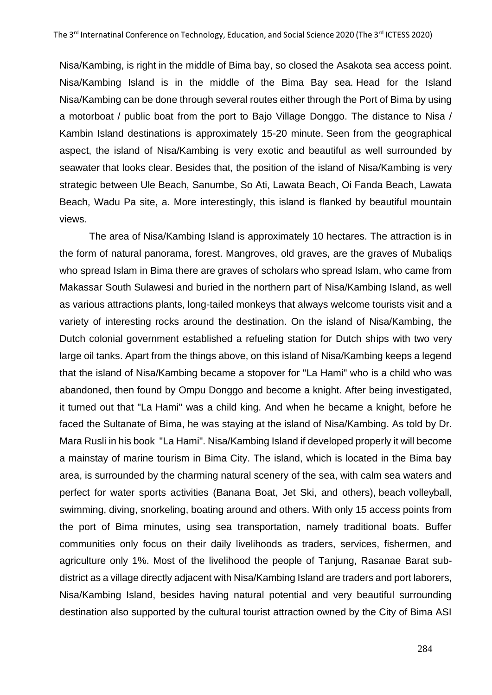Nisa/Kambing, is right in the middle of Bima bay, so closed the Asakota sea access point. Nisa/Kambing Island is in the middle of the Bima Bay sea. Head for the Island Nisa/Kambing can be done through several routes either through the Port of Bima by using a motorboat / public boat from the port to Bajo Village Donggo. The distance to Nisa / Kambin Island destinations is approximately 15-20 minute. Seen from the geographical aspect, the island of Nisa/Kambing is very exotic and beautiful as well surrounded by seawater that looks clear. Besides that, the position of the island of Nisa/Kambing is very strategic between Ule Beach, Sanumbe, So Ati, Lawata Beach, Oi Fanda Beach, Lawata Beach, Wadu Pa site, a. More interestingly, this island is flanked by beautiful mountain views.

The area of Nisa/Kambing Island is approximately 10 hectares. The attraction is in the form of natural panorama, forest. Mangroves, old graves, are the graves of Mubaliqs who spread Islam in Bima there are graves of scholars who spread Islam, who came from Makassar South Sulawesi and buried in the northern part of Nisa/Kambing Island, as well as various attractions plants, long-tailed monkeys that always welcome tourists visit and a variety of interesting rocks around the destination. On the island of Nisa/Kambing, the Dutch colonial government established a refueling station for Dutch ships with two very large oil tanks. Apart from the things above, on this island of Nisa/Kambing keeps a legend that the island of Nisa/Kambing became a stopover for "La Hami" who is a child who was abandoned, then found by Ompu Donggo and become a knight. After being investigated, it turned out that "La Hami" was a child king. And when he became a knight, before he faced the Sultanate of Bima, he was staying at the island of Nisa/Kambing. As told by Dr. Mara Rusli in his book "La Hami". Nisa/Kambing Island if developed properly it will become a mainstay of marine tourism in Bima City. The island, which is located in the Bima bay area, is surrounded by the charming natural scenery of the sea, with calm sea waters and perfect for water sports activities (Banana Boat, Jet Ski, and others), beach volleyball, swimming, diving, snorkeling, boating around and others. With only 15 access points from the port of Bima minutes, using sea transportation, namely traditional boats. Buffer communities only focus on their daily livelihoods as traders, services, fishermen, and agriculture only 1%. Most of the livelihood the people of Tanjung, Rasanae Barat subdistrict as a village directly adjacent with Nisa/Kambing Island are traders and port laborers, Nisa/Kambing Island, besides having natural potential and very beautiful surrounding destination also supported by the cultural tourist attraction owned by the City of Bima ASI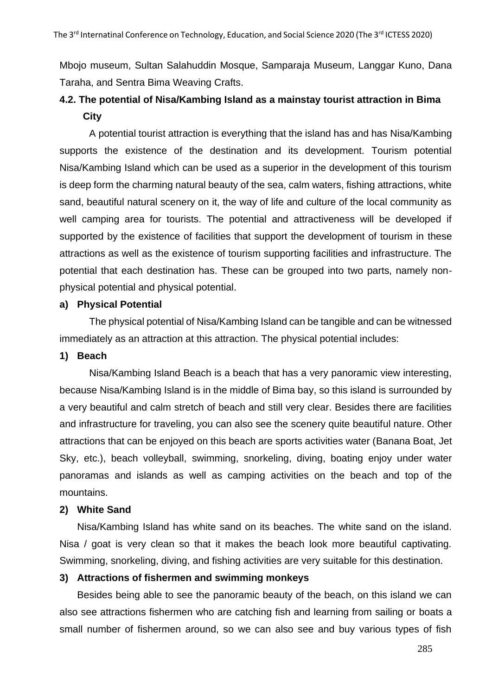Mbojo museum, Sultan Salahuddin Mosque, Samparaja Museum, Langgar Kuno, Dana Taraha, and Sentra Bima Weaving Crafts.

# **4.2. The potential of Nisa/Kambing Island as a mainstay tourist attraction in Bima City**

A potential tourist attraction is everything that the island has and has Nisa/Kambing supports the existence of the destination and its development. Tourism potential Nisa/Kambing Island which can be used as a superior in the development of this tourism is deep form the charming natural beauty of the sea, calm waters, fishing attractions, white sand, beautiful natural scenery on it, the way of life and culture of the local community as well camping area for tourists. The potential and attractiveness will be developed if supported by the existence of facilities that support the development of tourism in these attractions as well as the existence of tourism supporting facilities and infrastructure. The potential that each destination has. These can be grouped into two parts, namely nonphysical potential and physical potential.

### **a) Physical Potential**

The physical potential of Nisa/Kambing Island can be tangible and can be witnessed immediately as an attraction at this attraction. The physical potential includes:

#### **1) Beach**

Nisa/Kambing Island Beach is a beach that has a very panoramic view interesting, because Nisa/Kambing Island is in the middle of Bima bay, so this island is surrounded by a very beautiful and calm stretch of beach and still very clear. Besides there are facilities and infrastructure for traveling, you can also see the scenery quite beautiful nature. Other attractions that can be enjoyed on this beach are sports activities water (Banana Boat, Jet Sky, etc.), beach volleyball, swimming, snorkeling, diving, boating enjoy under water panoramas and islands as well as camping activities on the beach and top of the mountains.

#### **2) White Sand**

Nisa/Kambing Island has white sand on its beaches. The white sand on the island. Nisa / goat is very clean so that it makes the beach look more beautiful captivating. Swimming, snorkeling, diving, and fishing activities are very suitable for this destination.

#### **3) Attractions of fishermen and swimming monkeys**

Besides being able to see the panoramic beauty of the beach, on this island we can also see attractions fishermen who are catching fish and learning from sailing or boats a small number of fishermen around, so we can also see and buy various types of fish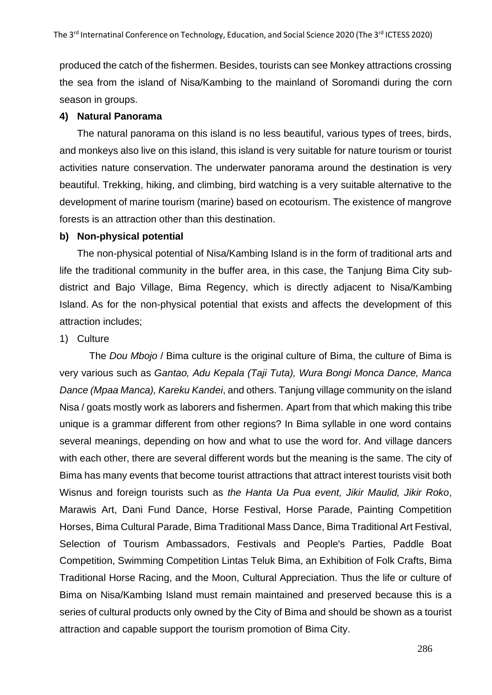produced the catch of the fishermen. Besides, tourists can see Monkey attractions crossing the sea from the island of Nisa/Kambing to the mainland of Soromandi during the corn season in groups.

#### **4) Natural Panorama**

The natural panorama on this island is no less beautiful, various types of trees, birds, and monkeys also live on this island, this island is very suitable for nature tourism or tourist activities nature conservation. The underwater panorama around the destination is very beautiful. Trekking, hiking, and climbing, bird watching is a very suitable alternative to the development of marine tourism (marine) based on ecotourism. The existence of mangrove forests is an attraction other than this destination.

#### **b) Non-physical potential**

The non-physical potential of Nisa/Kambing Island is in the form of traditional arts and life the traditional community in the buffer area, in this case, the Tanjung Bima City subdistrict and Bajo Village, Bima Regency, which is directly adjacent to Nisa/Kambing Island. As for the non-physical potential that exists and affects the development of this attraction includes;

#### 1) Culture

The *Dou Mbojo* / Bima culture is the original culture of Bima, the culture of Bima is very various such as *Gantao, Adu Kepala (Taji Tuta), Wura Bongi Monca Dance, Manca Dance (Mpaa Manca), Kareku Kandei*, and others. Tanjung village community on the island Nisa / goats mostly work as laborers and fishermen. Apart from that which making this tribe unique is a grammar different from other regions? In Bima syllable in one word contains several meanings, depending on how and what to use the word for. And village dancers with each other, there are several different words but the meaning is the same. The city of Bima has many events that become tourist attractions that attract interest tourists visit both Wisnus and foreign tourists such as *the Hanta Ua Pua event, Jikir Maulid, Jikir Roko*, Marawis Art, Dani Fund Dance, Horse Festival, Horse Parade, Painting Competition Horses, Bima Cultural Parade, Bima Traditional Mass Dance, Bima Traditional Art Festival, Selection of Tourism Ambassadors, Festivals and People's Parties, Paddle Boat Competition, Swimming Competition Lintas Teluk Bima, an Exhibition of Folk Crafts, Bima Traditional Horse Racing, and the Moon, Cultural Appreciation. Thus the life or culture of Bima on Nisa/Kambing Island must remain maintained and preserved because this is a series of cultural products only owned by the City of Bima and should be shown as a tourist attraction and capable support the tourism promotion of Bima City.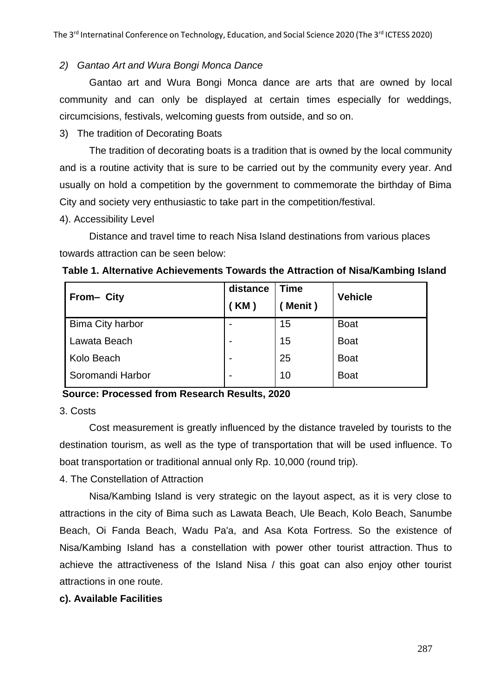## *2) Gantao Art and Wura Bongi Monca Dance*

Gantao art and Wura Bongi Monca dance are arts that are owned by local community and can only be displayed at certain times especially for weddings, circumcisions, festivals, welcoming guests from outside, and so on.

3) The tradition of Decorating Boats

The tradition of decorating boats is a tradition that is owned by the local community and is a routine activity that is sure to be carried out by the community every year. And usually on hold a competition by the government to commemorate the birthday of Bima City and society very enthusiastic to take part in the competition/festival.

4). Accessibility Level

Distance and travel time to reach Nisa Island destinations from various places towards attraction can be seen below:

| Table 1. Alternative Achievements Towards the Attraction of Nisa/Kambing Island |
|---------------------------------------------------------------------------------|
|---------------------------------------------------------------------------------|

| From- City              | distance                 | <b>Time</b> | <b>Vehicle</b> |
|-------------------------|--------------------------|-------------|----------------|
|                         | (KM)                     | Menit)      |                |
| <b>Bima City harbor</b> |                          | 15          | <b>Boat</b>    |
| Lawata Beach            |                          | 15          | <b>Boat</b>    |
| Kolo Beach              |                          | 25          | <b>Boat</b>    |
| Soromandi Harbor        | $\overline{\phantom{0}}$ | 10          | <b>Boat</b>    |

# **Source: Processed from Research Results, 2020**

3. Costs

Cost measurement is greatly influenced by the distance traveled by tourists to the destination tourism, as well as the type of transportation that will be used influence. To boat transportation or traditional annual only Rp. 10,000 (round trip).

4. The Constellation of Attraction

Nisa/Kambing Island is very strategic on the layout aspect, as it is very close to attractions in the city of Bima such as Lawata Beach, Ule Beach, Kolo Beach, Sanumbe Beach, Oi Fanda Beach, Wadu Pa'a, and Asa Kota Fortress. So the existence of Nisa/Kambing Island has a constellation with power other tourist attraction. Thus to achieve the attractiveness of the Island Nisa / this goat can also enjoy other tourist attractions in one route.

#### **c). Available Facilities**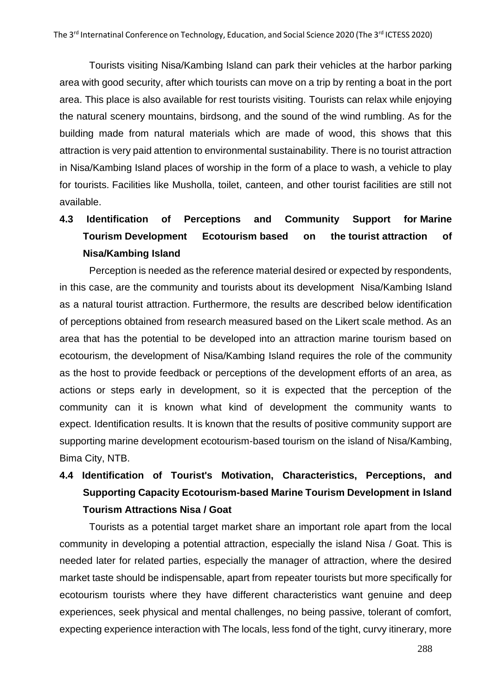Tourists visiting Nisa/Kambing Island can park their vehicles at the harbor parking area with good security, after which tourists can move on a trip by renting a boat in the port area. This place is also available for rest tourists visiting. Tourists can relax while enjoying the natural scenery mountains, birdsong, and the sound of the wind rumbling. As for the building made from natural materials which are made of wood, this shows that this attraction is very paid attention to environmental sustainability. There is no tourist attraction in Nisa/Kambing Island places of worship in the form of a place to wash, a vehicle to play for tourists. Facilities like Musholla, toilet, canteen, and other tourist facilities are still not available.

# **4.3 Identification of Perceptions and Community Support for Marine Tourism Development Ecotourism based on the tourist attraction of Nisa/Kambing Island**

Perception is needed as the reference material desired or expected by respondents, in this case, are the community and tourists about its development Nisa/Kambing Island as a natural tourist attraction. Furthermore, the results are described below identification of perceptions obtained from research measured based on the Likert scale method. As an area that has the potential to be developed into an attraction marine tourism based on ecotourism, the development of Nisa/Kambing Island requires the role of the community as the host to provide feedback or perceptions of the development efforts of an area, as actions or steps early in development, so it is expected that the perception of the community can it is known what kind of development the community wants to expect. Identification results. It is known that the results of positive community support are supporting marine development ecotourism-based tourism on the island of Nisa/Kambing, Bima City, NTB.

# **4.4 Identification of Tourist's Motivation, Characteristics, Perceptions, and Supporting Capacity Ecotourism-based Marine Tourism Development in Island Tourism Attractions Nisa / Goat**

Tourists as a potential target market share an important role apart from the local community in developing a potential attraction, especially the island Nisa / Goat. This is needed later for related parties, especially the manager of attraction, where the desired market taste should be indispensable, apart from repeater tourists but more specifically for ecotourism tourists where they have different characteristics want genuine and deep experiences, seek physical and mental challenges, no being passive, tolerant of comfort, expecting experience interaction with The locals, less fond of the tight, curvy itinerary, more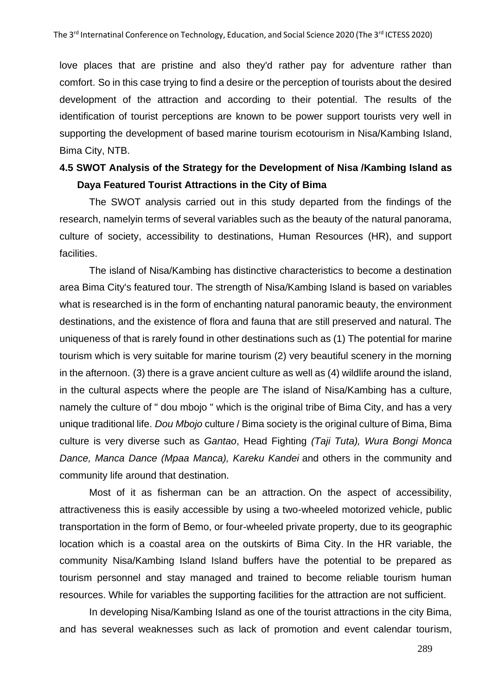love places that are pristine and also they'd rather pay for adventure rather than comfort. So in this case trying to find a desire or the perception of tourists about the desired development of the attraction and according to their potential. The results of the identification of tourist perceptions are known to be power support tourists very well in supporting the development of based marine tourism ecotourism in Nisa/Kambing Island, Bima City, NTB.

# **4.5 SWOT Analysis of the Strategy for the Development of Nisa /Kambing Island as Daya Featured Tourist Attractions in the City of Bima**

The SWOT analysis carried out in this study departed from the findings of the research, namelyin terms of several variables such as the beauty of the natural panorama, culture of society, accessibility to destinations, Human Resources (HR), and support facilities.

The island of Nisa/Kambing has distinctive characteristics to become a destination area Bima City's featured tour. The strength of Nisa/Kambing Island is based on variables what is researched is in the form of enchanting natural panoramic beauty, the environment destinations, and the existence of flora and fauna that are still preserved and natural. The uniqueness of that is rarely found in other destinations such as (1) The potential for marine tourism which is very suitable for marine tourism (2) very beautiful scenery in the morning in the afternoon. (3) there is a grave ancient culture as well as (4) wildlife around the island, in the cultural aspects where the people are The island of Nisa/Kambing has a culture, namely the culture of " dou mbojo " which is the original tribe of Bima City, and has a very unique traditional life. *Dou Mbojo* culture / Bima society is the original culture of Bima, Bima culture is very diverse such as *Gantao*, Head Fighting *(Taji Tuta), Wura Bongi Monca Dance, Manca Dance (Mpaa Manca), Kareku Kandei* and others in the community and community life around that destination.

Most of it as fisherman can be an attraction. On the aspect of accessibility, attractiveness this is easily accessible by using a two-wheeled motorized vehicle, public transportation in the form of Bemo, or four-wheeled private property, due to its geographic location which is a coastal area on the outskirts of Bima City. In the HR variable, the community Nisa/Kambing Island Island buffers have the potential to be prepared as tourism personnel and stay managed and trained to become reliable tourism human resources. While for variables the supporting facilities for the attraction are not sufficient.

In developing Nisa/Kambing Island as one of the tourist attractions in the city Bima, and has several weaknesses such as lack of promotion and event calendar tourism,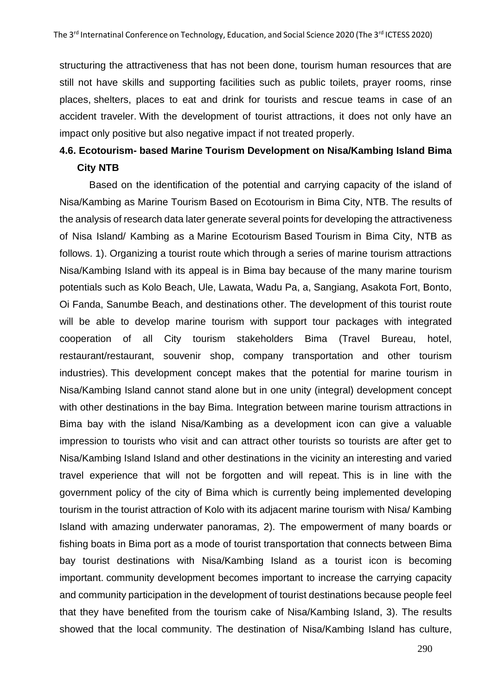structuring the attractiveness that has not been done, tourism human resources that are still not have skills and supporting facilities such as public toilets, prayer rooms, rinse places, shelters, places to eat and drink for tourists and rescue teams in case of an accident traveler. With the development of tourist attractions, it does not only have an impact only positive but also negative impact if not treated properly.

# **4.6. Ecotourism- based Marine Tourism Development on Nisa/Kambing Island Bima City NTB**

Based on the identification of the potential and carrying capacity of the island of Nisa/Kambing as Marine Tourism Based on Ecotourism in Bima City, NTB. The results of the analysis of research data later generate several points for developing the attractiveness of Nisa Island/ Kambing as a Marine Ecotourism Based Tourism in Bima City, NTB as follows. 1). Organizing a tourist route which through a series of marine tourism attractions Nisa/Kambing Island with its appeal is in Bima bay because of the many marine tourism potentials such as Kolo Beach, Ule, Lawata, Wadu Pa, a, Sangiang, Asakota Fort, Bonto, Oi Fanda, Sanumbe Beach, and destinations other. The development of this tourist route will be able to develop marine tourism with support tour packages with integrated cooperation of all City tourism stakeholders Bima (Travel Bureau, hotel, restaurant/restaurant, souvenir shop, company transportation and other tourism industries). This development concept makes that the potential for marine tourism in Nisa/Kambing Island cannot stand alone but in one unity (integral) development concept with other destinations in the bay Bima. Integration between marine tourism attractions in Bima bay with the island Nisa/Kambing as a development icon can give a valuable impression to tourists who visit and can attract other tourists so tourists are after get to Nisa/Kambing Island Island and other destinations in the vicinity an interesting and varied travel experience that will not be forgotten and will repeat. This is in line with the government policy of the city of Bima which is currently being implemented developing tourism in the tourist attraction of Kolo with its adjacent marine tourism with Nisa/ Kambing Island with amazing underwater panoramas, 2). The empowerment of many boards or fishing boats in Bima port as a mode of tourist transportation that connects between Bima bay tourist destinations with Nisa/Kambing Island as a tourist icon is becoming important. community development becomes important to increase the carrying capacity and community participation in the development of tourist destinations because people feel that they have benefited from the tourism cake of Nisa/Kambing Island, 3). The results showed that the local community. The destination of Nisa/Kambing Island has culture,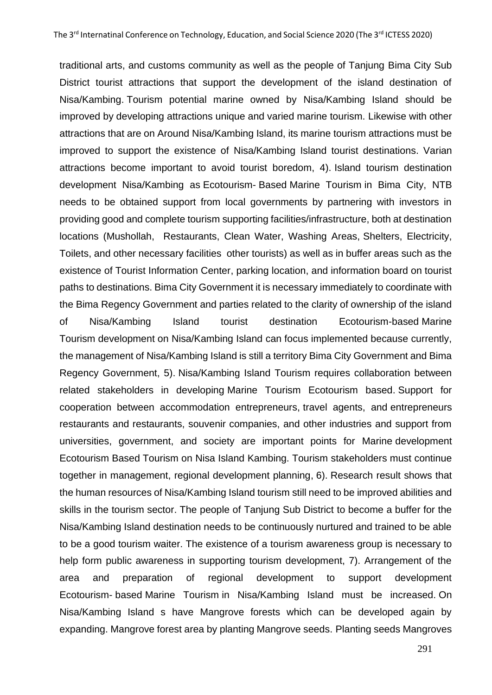traditional arts, and customs community as well as the people of Tanjung Bima City Sub District tourist attractions that support the development of the island destination of Nisa/Kambing. Tourism potential marine owned by Nisa/Kambing Island should be improved by developing attractions unique and varied marine tourism. Likewise with other attractions that are on Around Nisa/Kambing Island, its marine tourism attractions must be improved to support the existence of Nisa/Kambing Island tourist destinations. Varian attractions become important to avoid tourist boredom, 4). Island tourism destination development Nisa/Kambing as Ecotourism- Based Marine Tourism in Bima City, NTB needs to be obtained support from local governments by partnering with investors in providing good and complete tourism supporting facilities/infrastructure, both at destination locations (Mushollah, Restaurants, Clean Water, Washing Areas, Shelters, Electricity, Toilets, and other necessary facilities other tourists) as well as in buffer areas such as the existence of Tourist Information Center, parking location, and information board on tourist paths to destinations. Bima City Government it is necessary immediately to coordinate with the Bima Regency Government and parties related to the clarity of ownership of the island of Nisa/Kambing Island tourist destination Ecotourism-based Marine Tourism development on Nisa/Kambing Island can focus implemented because currently, the management of Nisa/Kambing Island is still a territory Bima City Government and Bima Regency Government, 5). Nisa/Kambing Island Tourism requires collaboration between related stakeholders in developing Marine Tourism Ecotourism based. Support for cooperation between accommodation entrepreneurs, travel agents, and entrepreneurs restaurants and restaurants, souvenir companies, and other industries and support from universities, government, and society are important points for Marine development Ecotourism Based Tourism on Nisa Island Kambing. Tourism stakeholders must continue together in management, regional development planning, 6). Research result shows that the human resources of Nisa/Kambing Island tourism still need to be improved abilities and skills in the tourism sector. The people of Tanjung Sub District to become a buffer for the Nisa/Kambing Island destination needs to be continuously nurtured and trained to be able to be a good tourism waiter. The existence of a tourism awareness group is necessary to help form public awareness in supporting tourism development, 7). Arrangement of the area and preparation of regional development to support development Ecotourism- based Marine Tourism in Nisa/Kambing Island must be increased. On Nisa/Kambing Island s have Mangrove forests which can be developed again by expanding. Mangrove forest area by planting Mangrove seeds. Planting seeds Mangroves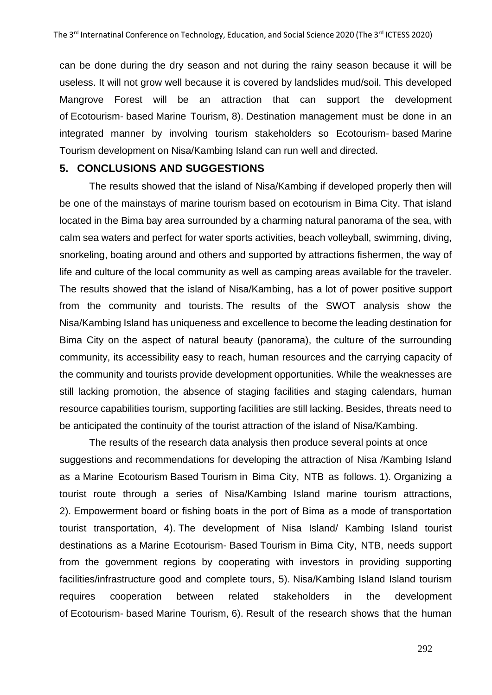can be done during the dry season and not during the rainy season because it will be useless. It will not grow well because it is covered by landslides mud/soil. This developed Mangrove Forest will be an attraction that can support the development of Ecotourism- based Marine Tourism, 8). Destination management must be done in an integrated manner by involving tourism stakeholders so Ecotourism- based Marine Tourism development on Nisa/Kambing Island can run well and directed.

#### **5. CONCLUSIONS AND SUGGESTIONS**

The results showed that the island of Nisa/Kambing if developed properly then will be one of the mainstays of marine tourism based on ecotourism in Bima City. That island located in the Bima bay area surrounded by a charming natural panorama of the sea, with calm sea waters and perfect for water sports activities, beach volleyball, swimming, diving, snorkeling, boating around and others and supported by attractions fishermen, the way of life and culture of the local community as well as camping areas available for the traveler. The results showed that the island of Nisa/Kambing, has a lot of power positive support from the community and tourists. The results of the SWOT analysis show the Nisa/Kambing Island has uniqueness and excellence to become the leading destination for Bima City on the aspect of natural beauty (panorama), the culture of the surrounding community, its accessibility easy to reach, human resources and the carrying capacity of the community and tourists provide development opportunities. While the weaknesses are still lacking promotion, the absence of staging facilities and staging calendars, human resource capabilities tourism, supporting facilities are still lacking. Besides, threats need to be anticipated the continuity of the tourist attraction of the island of Nisa/Kambing.

The results of the research data analysis then produce several points at once suggestions and recommendations for developing the attraction of Nisa /Kambing Island as a Marine Ecotourism Based Tourism in Bima City, NTB as follows. 1). Organizing a tourist route through a series of Nisa/Kambing Island marine tourism attractions, 2). Empowerment board or fishing boats in the port of Bima as a mode of transportation tourist transportation, 4). The development of Nisa Island/ Kambing Island tourist destinations as a Marine Ecotourism- Based Tourism in Bima City, NTB, needs support from the government regions by cooperating with investors in providing supporting facilities/infrastructure good and complete tours, 5). Nisa/Kambing Island Island tourism requires cooperation between related stakeholders in the development of Ecotourism- based Marine Tourism, 6). Result of the research shows that the human